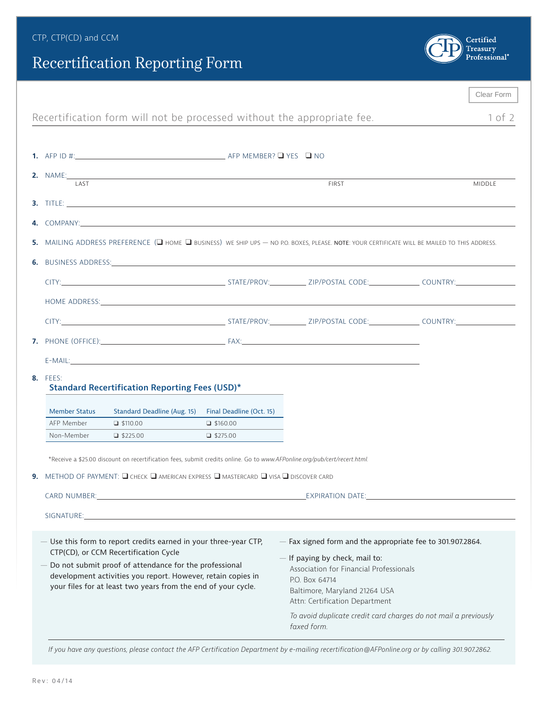## Recertification Reporting Form



|                                                                         |                                                                                                                                               |                                                                                                                                                                                                                                |                 |                                                                                                                                                                                                                                | Clear Form |  |  |  |  |
|-------------------------------------------------------------------------|-----------------------------------------------------------------------------------------------------------------------------------------------|--------------------------------------------------------------------------------------------------------------------------------------------------------------------------------------------------------------------------------|-----------------|--------------------------------------------------------------------------------------------------------------------------------------------------------------------------------------------------------------------------------|------------|--|--|--|--|
| Recertification form will not be processed without the appropriate fee. |                                                                                                                                               |                                                                                                                                                                                                                                |                 |                                                                                                                                                                                                                                |            |  |  |  |  |
|                                                                         |                                                                                                                                               |                                                                                                                                                                                                                                |                 |                                                                                                                                                                                                                                |            |  |  |  |  |
|                                                                         |                                                                                                                                               |                                                                                                                                                                                                                                |                 |                                                                                                                                                                                                                                |            |  |  |  |  |
|                                                                         | <b>2.</b> NAME:<br><b>LAST</b>                                                                                                                | the control of the control of the control of the control of the control of the control of the control of the control of the control of the control of the control of the control of the control of the control of the control  |                 | <b>FIRST</b>                                                                                                                                                                                                                   |            |  |  |  |  |
|                                                                         |                                                                                                                                               |                                                                                                                                                                                                                                |                 |                                                                                                                                                                                                                                | MIDDLE     |  |  |  |  |
|                                                                         |                                                                                                                                               |                                                                                                                                                                                                                                |                 |                                                                                                                                                                                                                                |            |  |  |  |  |
|                                                                         |                                                                                                                                               |                                                                                                                                                                                                                                |                 |                                                                                                                                                                                                                                |            |  |  |  |  |
|                                                                         | 5. MAILING ADDRESS PREFERENCE (O HOME O BUSINESS) WE SHIP UPS - NO P.O. BOXES, PLEASE. NOTE: YOUR CERTIFICATE WILL BE MAILED TO THIS ADDRESS. |                                                                                                                                                                                                                                |                 |                                                                                                                                                                                                                                |            |  |  |  |  |
|                                                                         |                                                                                                                                               | 6. BUSINESS ADDRESS: AND ANNOUNCEMENT CONTROL IN THE RESIDENCE OF A SERVICE OF A SERVICE OF A SERVICE OF A SERVICE OF A SERVICE OF A SERVICE OF A SERVICE OF A SERVICE OF A SERVICE OF A SERVICE OF A SERVICE OF A SERVICE OF  |                 |                                                                                                                                                                                                                                |            |  |  |  |  |
|                                                                         |                                                                                                                                               |                                                                                                                                                                                                                                |                 |                                                                                                                                                                                                                                |            |  |  |  |  |
|                                                                         |                                                                                                                                               | HOME ADDRESS: Note that the state of the state of the state of the state of the state of the state of the state of the state of the state of the state of the state of the state of the state of the state of the state of the |                 |                                                                                                                                                                                                                                |            |  |  |  |  |
|                                                                         |                                                                                                                                               |                                                                                                                                                                                                                                |                 | CITY: CITY: STATE/PROV: ZIP/POSTAL CODE: COUNTRY:                                                                                                                                                                              |            |  |  |  |  |
|                                                                         |                                                                                                                                               |                                                                                                                                                                                                                                |                 |                                                                                                                                                                                                                                |            |  |  |  |  |
|                                                                         |                                                                                                                                               |                                                                                                                                                                                                                                |                 | E-MAIL: Example of the contract of the contract of the contract of the contract of the contract of the contract of the contract of the contract of the contract of the contract of the contract of the contract of the contrac |            |  |  |  |  |
|                                                                         | <b>8.</b> FEES:                                                                                                                               |                                                                                                                                                                                                                                |                 |                                                                                                                                                                                                                                |            |  |  |  |  |
|                                                                         | <b>Standard Recertification Reporting Fees (USD)*</b>                                                                                         |                                                                                                                                                                                                                                |                 |                                                                                                                                                                                                                                |            |  |  |  |  |
|                                                                         | <b>Member Status</b>                                                                                                                          | Standard Deadline (Aug. 15) Final Deadline (Oct. 15)                                                                                                                                                                           |                 |                                                                                                                                                                                                                                |            |  |  |  |  |
|                                                                         | AFP Member<br>Non-Member                                                                                                                      | $\Box$ \$110.00<br>$\Box$ \$225.00                                                                                                                                                                                             | $\Box$ \$160.00 |                                                                                                                                                                                                                                |            |  |  |  |  |
|                                                                         |                                                                                                                                               |                                                                                                                                                                                                                                | $\Box$ \$275.00 |                                                                                                                                                                                                                                |            |  |  |  |  |
|                                                                         |                                                                                                                                               | *Receive a \$25.00 discount on recertification fees, submit credits online. Go to www.AFPonline.org/pub/cert/recert.html.                                                                                                      |                 |                                                                                                                                                                                                                                |            |  |  |  |  |
|                                                                         |                                                                                                                                               | <b>9.</b> METHOD OF PAYMENT: $\Box$ check $\Box$ american express $\Box$ mastercard $\Box$ visa $\Box$ discover card                                                                                                           |                 |                                                                                                                                                                                                                                |            |  |  |  |  |
|                                                                         |                                                                                                                                               |                                                                                                                                                                                                                                |                 |                                                                                                                                                                                                                                |            |  |  |  |  |
|                                                                         |                                                                                                                                               |                                                                                                                                                                                                                                |                 |                                                                                                                                                                                                                                |            |  |  |  |  |
|                                                                         |                                                                                                                                               |                                                                                                                                                                                                                                |                 |                                                                                                                                                                                                                                |            |  |  |  |  |
|                                                                         | - Use this form to report credits earned in your three-year CTP,<br>CTP(CD), or CCM Recertification Cycle                                     |                                                                                                                                                                                                                                |                 | - Fax signed form and the appropriate fee to 301.907.2864.                                                                                                                                                                     |            |  |  |  |  |
|                                                                         | - Do not submit proof of attendance for the professional                                                                                      |                                                                                                                                                                                                                                |                 | - If paying by check, mail to:<br>Association for Financial Professionals                                                                                                                                                      |            |  |  |  |  |
|                                                                         |                                                                                                                                               | development activities you report. However, retain copies in                                                                                                                                                                   |                 | P.O. Box 64714                                                                                                                                                                                                                 |            |  |  |  |  |
|                                                                         | your files for at least two years from the end of your cycle.                                                                                 |                                                                                                                                                                                                                                |                 | Baltimore, Maryland 21264 USA                                                                                                                                                                                                  |            |  |  |  |  |
|                                                                         |                                                                                                                                               |                                                                                                                                                                                                                                |                 | Attn: Certification Department                                                                                                                                                                                                 |            |  |  |  |  |
|                                                                         |                                                                                                                                               |                                                                                                                                                                                                                                |                 | To avoid duplicate credit card charges do not mail a previously<br>faxed form.                                                                                                                                                 |            |  |  |  |  |
|                                                                         |                                                                                                                                               |                                                                                                                                                                                                                                |                 |                                                                                                                                                                                                                                |            |  |  |  |  |

*If you have any questions, please contact the AFP Certification Department by e-mailing recertification@AFPonline.org or by calling 301.907.2862.*